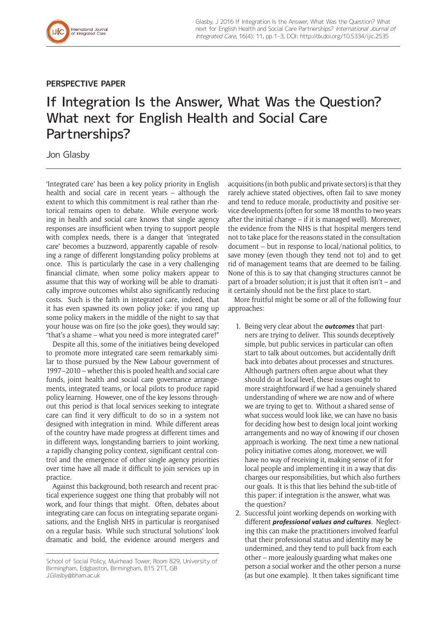

# **PERSPECTIVE PAPER**

# If Integration Is the Answer, What Was the Question? What next for English Health and Social Care Partnerships?

Jon Glasby

'Integrated care' has been a key policy priority in English health and social care in recent years – although the extent to which this commitment is real rather than rhetorical remains open to debate. While everyone working in health and social care knows that single agency responses are insufficient when trying to support people with complex needs, there is a danger that 'integrated care' becomes a buzzword, apparently capable of resolving a range of different longstanding policy problems at once. This is particularly the case in a very challenging financial climate, when some policy makers appear to assume that this way of working will be able to dramatically improve outcomes whilst also significantly reducing costs. Such is the faith in integrated care, indeed, that it has even spawned its own policy joke: if you rang up some policy makers in the middle of the night to say that your house was on fire (so the joke goes), they would say: "that's a shame – what you need is more integrated care!"

Despite all this, some of the initiatives being developed to promote more integrated care seem remarkably similar to those pursued by the New Labour government of 1997–2010 – whether this is pooled health and social care funds, joint health and social care governance arrangements, integrated teams, or local pilots to produce rapid policy learning. However, one of the key lessons throughout this period is that local services seeking to integrate care can find it very difficult to do so in a system not designed with integration in mind. While different areas of the country have made progress at different times and in different ways, longstanding barriers to joint working, a rapidly changing policy context, significant central control and the emergence of other single agency priorities over time have all made it difficult to join services up in practice.

Against this background, both research and recent practical experience suggest one thing that probably will not work, and four things that might. Often, debates about integrating care can focus on integrating separate organisations, and the English NHS in particular is reorganised on a regular basis. While such structural 'solutions' look dramatic and bold, the evidence around mergers and acquisitions (in both public and private sectors) is that they rarely achieve stated objectives, often fail to save money and tend to reduce morale, productivity and positive service developments (often for some 18 months to two years after the initial change – if it is managed well). Moreover, the evidence from the NHS is that hospital mergers tend not to take place for the reasons stated in the consultation document – but in response to local/national politics, to save money (even though they tend not to) and to get rid of management teams that are deemed to be failing. None of this is to say that changing structures cannot be part of a broader solution; it is just that it often isn't – and it certainly should not be the first place to start.

More fruitful might be some or all of the following four approaches:

- 1. Being very clear about the *outcomes* that partners are trying to deliver. This sounds deceptively simple, but public services in particular can often start to talk about outcomes, but accidentally drift back into debates about processes and structures. Although partners often argue about what they should do at local level, these issues ought to more straightforward if we had a genuinely shared understanding of where we are now and of where we are trying to get to. Without a shared sense of what success would look like, we can have no basis for deciding how best to design local joint working arrangements and no way of knowing if our chosen approach is working. The next time a new national policy initiative comes along, moreover, we will have no way of receiving it, making sense of it for local people and implementing it in a way that discharges our responsibilities, but which also furthers our goals. It is this that lies behind the sub-title of this paper: if integration is the answer, what was the question?
- 2. Successful joint working depends on working with different *professional values and cultures*. Neglecting this can make the practitioners involved fearful that their professional status and identity may be undermined, and they tend to pull back from each other – more jealously guarding what makes one person a social worker and the other person a nurse (as but one example). It then takes significant time

School of Social Policy, Muirhead Tower, Room 829, University of Birmingham, Edgbaston, Birmingham, B15 2TT, GB [J.Glasby@bham.ac.uk](mailto:J.Glasby@bham.ac.uk)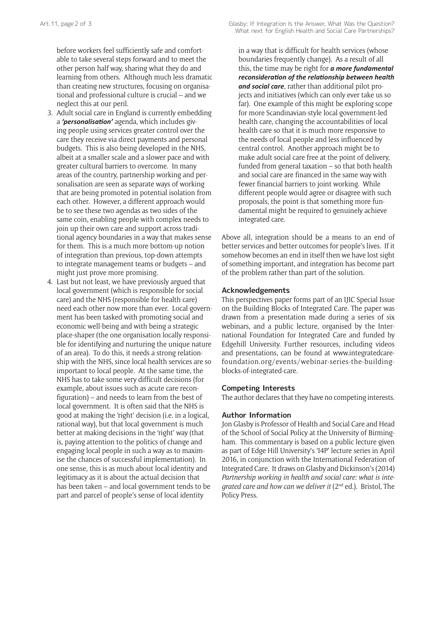before workers feel sufficiently safe and comfortable to take several steps forward and to meet the other person half way, sharing what they do and learning from others. Although much less dramatic than creating new structures, focusing on organisational and professional culture is crucial – and we neglect this at our peril.

- 3. Adult social care in England is currently embedding a *'personalisation'* agenda, which includes giving people using services greater control over the care they receive via direct payments and personal budgets. This is also being developed in the NHS, albeit at a smaller scale and a slower pace and with greater cultural barriers to overcome. In many areas of the country, partnership working and personalisation are seen as separate ways of working that are being promoted in potential isolation from each other. However, a different approach would be to see these two agendas as two sides of the same coin, enabling people with complex needs to join up their own care and support across traditional agency boundaries in a way that makes sense for them. This is a much more bottom-up notion of integration than previous, top-down attempts to integrate management teams or budgets – and might just prove more promising.
- 4. Last but not least, we have previously argued that local government (which is responsible for social care) and the NHS (responsible for health care) need each other now more than ever. Local government has been tasked with promoting social and economic well-being and with being a strategic place-shaper (the one organisation locally responsible for identifying and nurturing the unique nature of an area). To do this, it needs a strong relationship with the NHS, since local health services are so important to local people. At the same time, the NHS has to take some very difficult decisions (for example, about issues such as acute care reconfiguration) – and needs to learn from the best of local government. It is often said that the NHS is good at making the 'right' decision (i.e. in a logical, rational way), but that local government is much better at making decisions in the 'right' way (that is, paying attention to the politics of change and engaging local people in such a way as to maximise the chances of successful implementation). In one sense, this is as much about local identity and legitimacy as it is about the actual decision that has been taken – and local government tends to be part and parcel of people's sense of local identity

in a way that is difficult for health services (whose boundaries frequently change). As a result of all this, the time may be right for *a more fundamental reconsideration of the relationship between health and social care*, rather than additional pilot projects and initiatives (which can only ever take us so far). One example of this might be exploring scope for more Scandinavian-style local government-led health care, changing the accountabilities of local health care so that it is much more responsive to the needs of local people and less influenced by central control. Another approach might be to make adult social care free at the point of delivery, funded from general taxation – so that both health and social care are financed in the same way with fewer financial barriers to joint working. While different people would agree or disagree with such proposals, the point is that something more fundamental might be required to genuinely achieve integrated care.

Above all, integration should be a means to an end of better services and better outcomes for people's lives. If it somehow becomes an end in itself then we have lost sight of something important, and integration has become part of the problem rather than part of the solution.

## **Acknowledgements**

This perspectives paper forms part of an IJIC Special Issue on the Building Blocks of Integrated Care. The paper was drawn from a presentation made during a series of six webinars, and a public lecture, organised by the International Foundation for Integrated Care and funded by Edgehill University. Further resources, including videos and presentations, can be found at [www.integratedcare](http://www.integratedcarefoundation.org/events/webinar-series-the-building-blocks-of-integrated-care)[foundation.org/events/webinar-series-the-building](http://www.integratedcarefoundation.org/events/webinar-series-the-building-blocks-of-integrated-care)[blocks-of-integrated-care.](http://www.integratedcarefoundation.org/events/webinar-series-the-building-blocks-of-integrated-care)

#### **Competing Interests**

The author declares that they have no competing interests.

### **Author Information**

Jon Glasby is Professor of Health and Social Care and Head of the School of Social Policy at the University of Birmingham. This commentary is based on a public lecture given as part of Edge Hill University's 'I4P' lecture series in April 2016, in conjunction with the International Federation of Integrated Care. It draws on Glasby and Dickinson's (2014) *Partnership working in health and social care: what is integrated care and how can we deliver it* (2nd ed.). Bristol, The Policy Press.